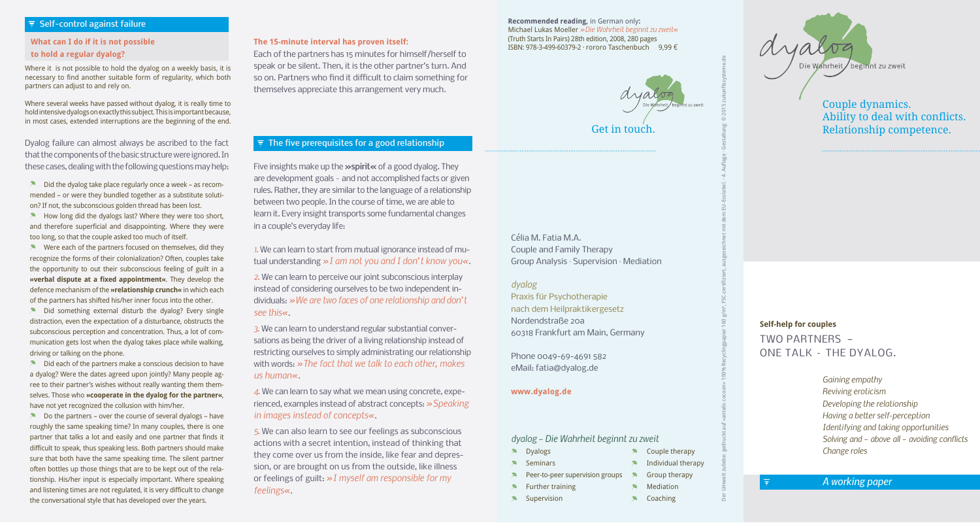## $\overline{z}$  Self-control against failure

## **What can I do if it is not possible to hold a regular dyalog?**

Where it is not possible to hold the dyalog on a weekly basis, it is necessary to find another suitable form of regularity, which both partners can adjust to and rely on.

Where several weeks have passed without dyalog, it is really time to hold intensive dyalogs on exactly this subject. This is important because, in most cases, extended interruptions are the beginning of the end.

Dyalog failure can almost always be ascribed to the fact that the components of the basic structure were ignored. In these cases, dealing with the following questions may help:

 $\lambda$  Did the dyalog take place regularly once a week – as recommended – or were they bundled together as a substitute solution? If not, the subconscious golden thread has been lost.

 $\blacktriangleright$  How long did the dyalogs last? Where they were too short, and therefore superficial and disappointing. Where they were too long, so that the couple asked too much of itself.

 $\blacktriangleright$  Were each of the partners focused on themselves, did they recognize the forms of their colonialization? Often, couples take the opportunity to out their subconscious feeling of guilt in a **»verbal dispute at a fixed appointment«**. They develop the defence mechanism of the **»relationship crunch«** in which each of the partners has shifted his/her inner focus into the other.

 $\blacktriangleright$  Did something external disturb the dyalog? Every single distraction, even the expectation of a disturbance, obstructs the subconscious perception and concentration. Thus, a lot of communication gets lost when the dyalog takes place while walking, driving or talking on the phone.

 $\lambda$  Did each of the partners make a conscious decision to have a dyalog? Were the dates agreed upon jointly? Many people agree to their partner's wishes without really wanting them themselves. Those who **»cooperate in the dyalog for the partner«**, have not yet recognized the collusion with him/her.

 $\lambda$  Do the partners – over the course of several dyalogs – have roughly the same speaking time? In many couples, there is one partner that talks a lot and easily and one partner that finds it difficult to speak, thus speaking less. Both partners should make sure that both have the same speaking time. The silent partner often bottles up those things that are to be kept out of the relationship. His/her input is especially important. Where speaking and listening times are not regulated, it is very difficult to change the conversational style that has developed over the years.

#### **The 15-minute interval has proven itself:**

Each of the partners has 15 minutes for himself/herself to speak or be silent. Then, it is the other partner's turn. And so on. Partners who find it difficult to claim something for themselves appreciate this arrangement very much.

#### **Recommended reading,** in German only**:** Michael Lukas Moeller *»Die Wahrheit beginnt zu zweit«* (Truth Starts In Pairs) 28th edition, 2008, 280 pages ISBN: 978-3-499-60379-2 · rororo Taschenbuch 9,99 €

Der Umwelt zuliebe: gedruckt auf »antalis cocoon« 100% Recyclingpapier 160 g/m², FSC-zertifiziert, ausgezeichnet mit dem EU-Ecolabel. · 4. Auflage · Gestaltung: © 2015 zukunftssysteme.de

Célia M. Fatia M.A. Couple and Family Therapy Group Analysis · Supervision · Mediation

*dyalog* Praxis für Psychotherapie nach dem Heilpraktikergesetz Nordendstraße 20a 60318 Frankfurt am Main, Germany

Phone 0049-69-4691 582 eMail: fatia@dyalog.de

### **www.dyalog.de**

*dyalog – Die Wahrheit beginnt zu zweit*

**N** Dyalogs **x** Seminars **\*** Couple therapy  $\triangle$  Individual therapy

**SEC** 

- Peer-to-peer supervision groups Group therapy
- **\*** Further training

**X** Supervision

Mediation Coaching 54



Couple dynamics. Ability to deal with conflicts. Get in touch. **Relationship competence**.

> **Self-help for couples** TWO PARTNERS — ONE TALK – THE DYALOG.

> > *Gaining empathy Reviving eroticism Developing the relationship Having a better self-perception Identifying and taking opportunities Solving and – above all – avoiding conflicts Change roles*

*A working paper*

## $\overline{z}$  The five prerequisites for a good relationship

Five insights make up the **»spirit«** of a good dyalog. They are development goals – and not accomplished facts or given rules. Rather, they are similar to the language of a relationship between two people. In the course of time, we are able to learn it. Every insight transports some fundamental changes in a couple's everyday life:

*1.* We can learn to start from mutual ignorance instead of mutual understanding *»I am not you and I don't know you«*.

*2.* We can learn to perceive our joint subconscious interplay instead of considering ourselves to be two independent individuals: *»We are two faces of one relationship and don't see this«*.

*3.* We can learn to understand regular substantial conversations as being the driver of a living relationship instead of restricting ourselves to simply administrating our relationship with words: *»The fact that we talk to each other, makes us human«*.

*4.* We can learn to say what we mean using concrete, experienced, examples instead of abstract concepts: *»Speaking in images instead of concepts«*.

*5.* We can also learn to see our feelings as subconscious actions with a secret intention, instead of thinking that they come over us from the inside, like fear and depression, or are brought on us from the outside, like illness or feelings of guilt: *»I myself am responsible for my feelings«*.